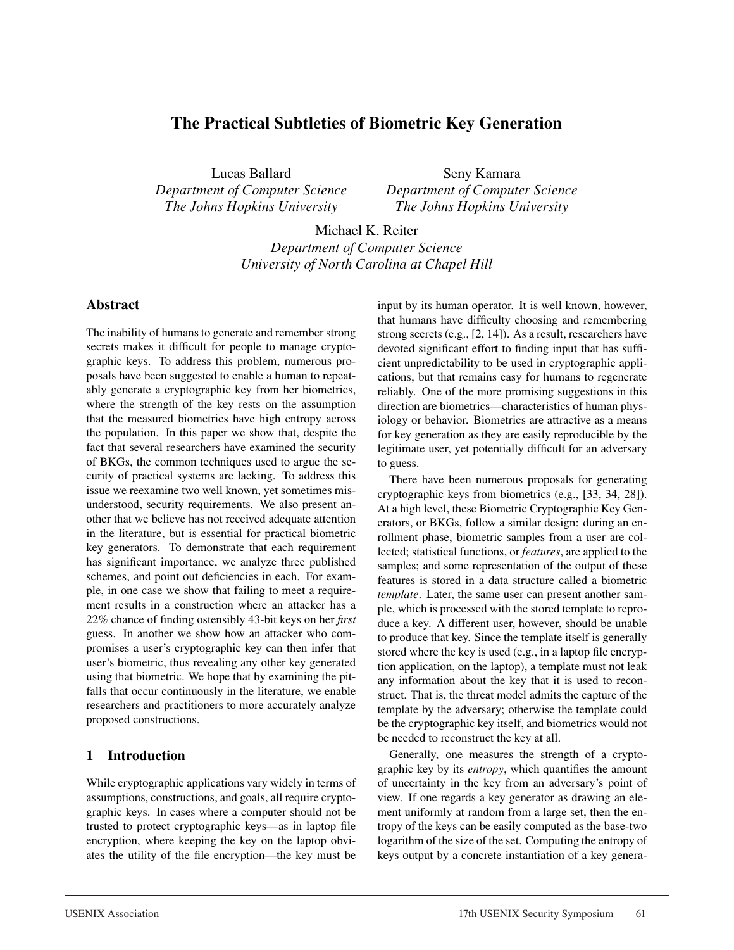# **The Practical Subtleties of Biometric Key Generation**

Lucas Ballard *Department of Computer Science The Johns Hopkins University*

Seny Kamara *Department of Computer Science The Johns Hopkins University*

Michael K. Reiter *Department of Computer Science University of North Carolina at Chapel Hill*

### **Abstract**

The inability of humans to generate and remember strong secrets makes it difficult for people to manage cryptographic keys. To address this problem, numerous proposals have been suggested to enable a human to repeatably generate a cryptographic key from her biometrics, where the strength of the key rests on the assumption that the measured biometrics have high entropy across the population. In this paper we show that, despite the fact that several researchers have examined the security of BKGs, the common techniques used to argue the security of practical systems are lacking. To address this issue we reexamine two well known, yet sometimes misunderstood, security requirements. We also present another that we believe has not received adequate attention in the literature, but is essential for practical biometric key generators. To demonstrate that each requirement has significant importance, we analyze three published schemes, and point out deficiencies in each. For example, in one case we show that failing to meet a requirement results in a construction where an attacker has a 22% chance of finding ostensibly 43-bit keys on her *first* guess. In another we show how an attacker who compromises a user's cryptographic key can then infer that user's biometric, thus revealing any other key generated using that biometric. We hope that by examining the pitfalls that occur continuously in the literature, we enable researchers and practitioners to more accurately analyze proposed constructions.

## **1 Introduction**

While cryptographic applications vary widely in terms of assumptions, constructions, and goals, all require cryptographic keys. In cases where a computer should not be trusted to protect cryptographic keys—as in laptop file encryption, where keeping the key on the laptop obviates the utility of the file encryption—the key must be input by its human operator. It is well known, however, that humans have difficulty choosing and remembering strong secrets (e.g., [2, 14]). As a result, researchers have devoted significant effort to finding input that has sufficient unpredictability to be used in cryptographic applications, but that remains easy for humans to regenerate reliably. One of the more promising suggestions in this direction are biometrics—characteristics of human physiology or behavior. Biometrics are attractive as a means for key generation as they are easily reproducible by the legitimate user, yet potentially difficult for an adversary to guess.

There have been numerous proposals for generating cryptographic keys from biometrics (e.g., [33, 34, 28]). At a high level, these Biometric Cryptographic Key Generators, or BKGs, follow a similar design: during an enrollment phase, biometric samples from a user are collected; statistical functions, or *features*, are applied to the samples; and some representation of the output of these features is stored in a data structure called a biometric *template*. Later, the same user can present another sample, which is processed with the stored template to reproduce a key. A different user, however, should be unable to produce that key. Since the template itself is generally stored where the key is used (e.g., in a laptop file encryption application, on the laptop), a template must not leak any information about the key that it is used to reconstruct. That is, the threat model admits the capture of the template by the adversary; otherwise the template could be the cryptographic key itself, and biometrics would not be needed to reconstruct the key at all.

Generally, one measures the strength of a cryptographic key by its *entropy*, which quantifies the amount of uncertainty in the key from an adversary's point of view. If one regards a key generator as drawing an element uniformly at random from a large set, then the entropy of the keys can be easily computed as the base-two logarithm of the size of the set. Computing the entropy of keys output by a concrete instantiation of a key genera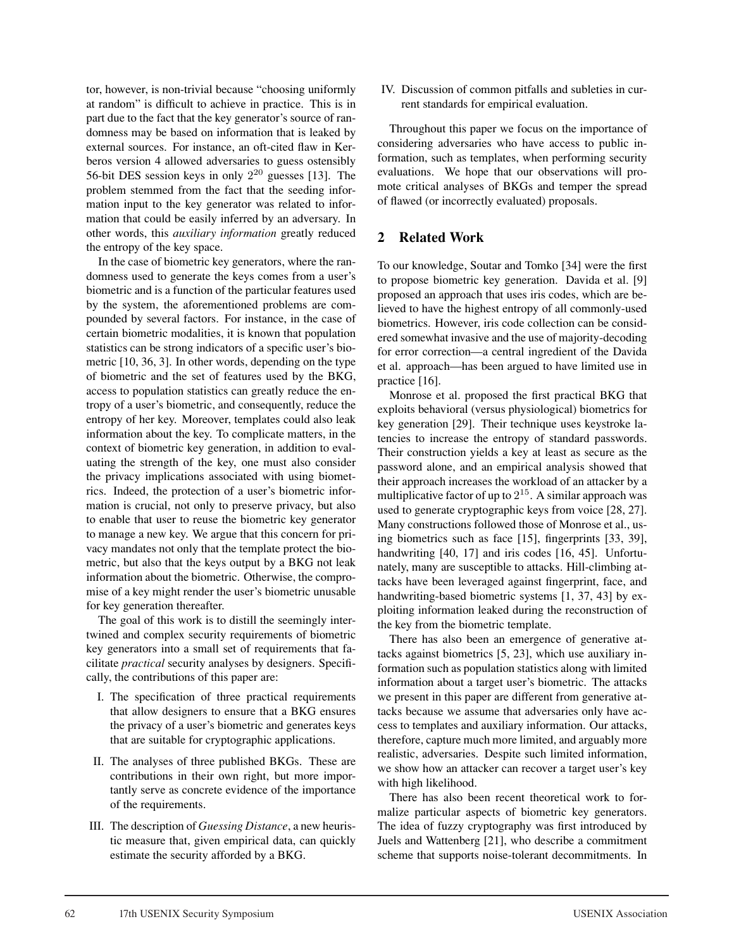tor, however, is non-trivial because "choosing uniformly at random" is difficult to achieve in practice. This is in part due to the fact that the key generator's source of randomness may be based on information that is leaked by external sources. For instance, an oft-cited flaw in Kerberos version 4 allowed adversaries to guess ostensibly 56-bit DES session keys in only  $2^{20}$  guesses [13]. The problem stemmed from the fact that the seeding information input to the key generator was related to information that could be easily inferred by an adversary. In other words, this *auxiliary information* greatly reduced the entropy of the key space.

In the case of biometric key generators, where the randomness used to generate the keys comes from a user's biometric and is a function of the particular features used by the system, the aforementioned problems are compounded by several factors. For instance, in the case of certain biometric modalities, it is known that population statistics can be strong indicators of a specific user's biometric [10, 36, 3]. In other words, depending on the type of biometric and the set of features used by the BKG, access to population statistics can greatly reduce the entropy of a user's biometric, and consequently, reduce the entropy of her key. Moreover, templates could also leak information about the key. To complicate matters, in the context of biometric key generation, in addition to evaluating the strength of the key, one must also consider the privacy implications associated with using biometrics. Indeed, the protection of a user's biometric information is crucial, not only to preserve privacy, but also to enable that user to reuse the biometric key generator to manage a new key. We argue that this concern for privacy mandates not only that the template protect the biometric, but also that the keys output by a BKG not leak information about the biometric. Otherwise, the compromise of a key might render the user's biometric unusable for key generation thereafter.

The goal of this work is to distill the seemingly intertwined and complex security requirements of biometric key generators into a small set of requirements that facilitate *practical* security analyses by designers. Specifically, the contributions of this paper are:

- I. The specification of three practical requirements that allow designers to ensure that a BKG ensures the privacy of a user's biometric and generates keys that are suitable for cryptographic applications.
- II. The analyses of three published BKGs. These are contributions in their own right, but more importantly serve as concrete evidence of the importance of the requirements.
- III. The description of *Guessing Distance*, a new heuristic measure that, given empirical data, can quickly estimate the security afforded by a BKG.

IV. Discussion of common pitfalls and subleties in current standards for empirical evaluation.

Throughout this paper we focus on the importance of considering adversaries who have access to public information, such as templates, when performing security evaluations. We hope that our observations will promote critical analyses of BKGs and temper the spread of flawed (or incorrectly evaluated) proposals.

## **2 Related Work**

To our knowledge, Soutar and Tomko [34] were the first to propose biometric key generation. Davida et al. [9] proposed an approach that uses iris codes, which are believed to have the highest entropy of all commonly-used biometrics. However, iris code collection can be considered somewhat invasive and the use of majority-decoding for error correction—a central ingredient of the Davida et al. approach—has been argued to have limited use in practice [16].

Monrose et al. proposed the first practical BKG that exploits behavioral (versus physiological) biometrics for key generation [29]. Their technique uses keystroke latencies to increase the entropy of standard passwords. Their construction yields a key at least as secure as the password alone, and an empirical analysis showed that their approach increases the workload of an attacker by a multiplicative factor of up to  $2^{15}$ . A similar approach was used to generate cryptographic keys from voice [28, 27]. Many constructions followed those of Monrose et al., using biometrics such as face [15], fingerprints [33, 39], handwriting [40, 17] and iris codes [16, 45]. Unfortunately, many are susceptible to attacks. Hill-climbing attacks have been leveraged against fingerprint, face, and handwriting-based biometric systems [1, 37, 43] by exploiting information leaked during the reconstruction of the key from the biometric template.

There has also been an emergence of generative attacks against biometrics [5, 23], which use auxiliary information such as population statistics along with limited information about a target user's biometric. The attacks we present in this paper are different from generative attacks because we assume that adversaries only have access to templates and auxiliary information. Our attacks, therefore, capture much more limited, and arguably more realistic, adversaries. Despite such limited information, we show how an attacker can recover a target user's key with high likelihood.

There has also been recent theoretical work to formalize particular aspects of biometric key generators. The idea of fuzzy cryptography was first introduced by Juels and Wattenberg [21], who describe a commitment scheme that supports noise-tolerant decommitments. In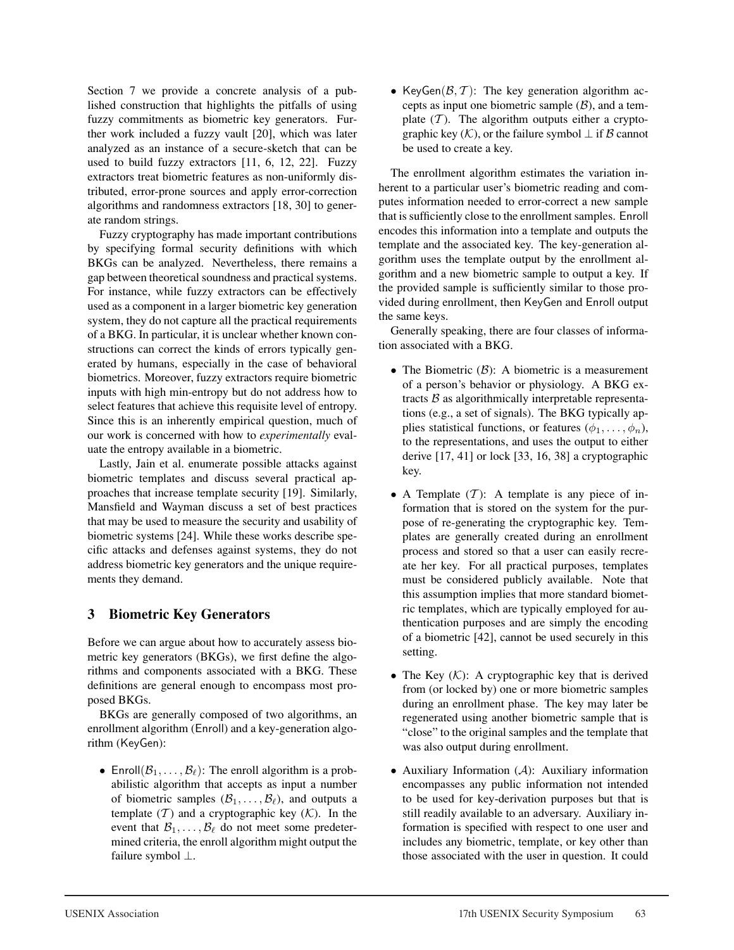Section 7 we provide a concrete analysis of a published construction that highlights the pitfalls of using fuzzy commitments as biometric key generators. Further work included a fuzzy vault [20], which was later analyzed as an instance of a secure-sketch that can be used to build fuzzy extractors [11, 6, 12, 22]. Fuzzy extractors treat biometric features as non-uniformly distributed, error-prone sources and apply error-correction algorithms and randomness extractors [18, 30] to generate random strings.

Fuzzy cryptography has made important contributions by specifying formal security definitions with which BKGs can be analyzed. Nevertheless, there remains a gap between theoretical soundness and practical systems. For instance, while fuzzy extractors can be effectively used as a component in a larger biometric key generation system, they do not capture all the practical requirements of a BKG. In particular, it is unclear whether known constructions can correct the kinds of errors typically generated by humans, especially in the case of behavioral biometrics. Moreover, fuzzy extractors require biometric inputs with high min-entropy but do not address how to select features that achieve this requisite level of entropy. Since this is an inherently empirical question, much of our work is concerned with how to *experimentally* evaluate the entropy available in a biometric.

Lastly, Jain et al. enumerate possible attacks against biometric templates and discuss several practical approaches that increase template security [19]. Similarly, Mansfield and Wayman discuss a set of best practices that may be used to measure the security and usability of biometric systems [24]. While these works describe specific attacks and defenses against systems, they do not address biometric key generators and the unique requirements they demand.

## **3 Biometric Key Generators**

Before we can argue about how to accurately assess biometric key generators (BKGs), we first define the algorithms and components associated with a BKG. These definitions are general enough to encompass most proposed BKGs.

BKGs are generally composed of two algorithms, an enrollment algorithm (Enroll) and a key-generation algorithm (KeyGen):

• Enroll $(\mathcal{B}_1, \ldots, \mathcal{B}_\ell)$ : The enroll algorithm is a probabilistic algorithm that accepts as input a number of biometric samples  $(\mathcal{B}_1, \ldots, \mathcal{B}_\ell)$ , and outputs a template  $(T)$  and a cryptographic key  $(K)$ . In the event that  $\mathcal{B}_1, \ldots, \mathcal{B}_\ell$  do not meet some predetermined criteria, the enroll algorithm might output the failure symbol ⊥.

• KeyGen $(\mathcal{B}, \mathcal{T})$ : The key generation algorithm accepts as input one biometric sample  $(\beta)$ , and a template  $(T)$ . The algorithm outputs either a cryptographic key  $(K)$ , or the failure symbol  $\perp$  if  $\beta$  cannot be used to create a key.

The enrollment algorithm estimates the variation inherent to a particular user's biometric reading and computes information needed to error-correct a new sample that is sufficiently close to the enrollment samples. Enroll encodes this information into a template and outputs the template and the associated key. The key-generation algorithm uses the template output by the enrollment algorithm and a new biometric sample to output a key. If the provided sample is sufficiently similar to those provided during enrollment, then KeyGen and Enroll output the same keys.

Generally speaking, there are four classes of information associated with a BKG.

- The Biometric  $(B)$ : A biometric is a measurement of a person's behavior or physiology. A BKG extracts  $\beta$  as algorithmically interpretable representations (e.g., a set of signals). The BKG typically applies statistical functions, or features  $(\phi_1, \ldots, \phi_n)$ , to the representations, and uses the output to either derive [17, 41] or lock [33, 16, 38] a cryptographic key.
- A Template  $(T)$ : A template is any piece of information that is stored on the system for the purpose of re-generating the cryptographic key. Templates are generally created during an enrollment process and stored so that a user can easily recreate her key. For all practical purposes, templates must be considered publicly available. Note that this assumption implies that more standard biometric templates, which are typically employed for authentication purposes and are simply the encoding of a biometric [42], cannot be used securely in this setting.
- The Key  $(K)$ : A cryptographic key that is derived from (or locked by) one or more biometric samples during an enrollment phase. The key may later be regenerated using another biometric sample that is "close" to the original samples and the template that was also output during enrollment.
- Auxiliary Information  $(A)$ : Auxiliary information encompasses any public information not intended to be used for key-derivation purposes but that is still readily available to an adversary. Auxiliary information is specified with respect to one user and includes any biometric, template, or key other than those associated with the user in question. It could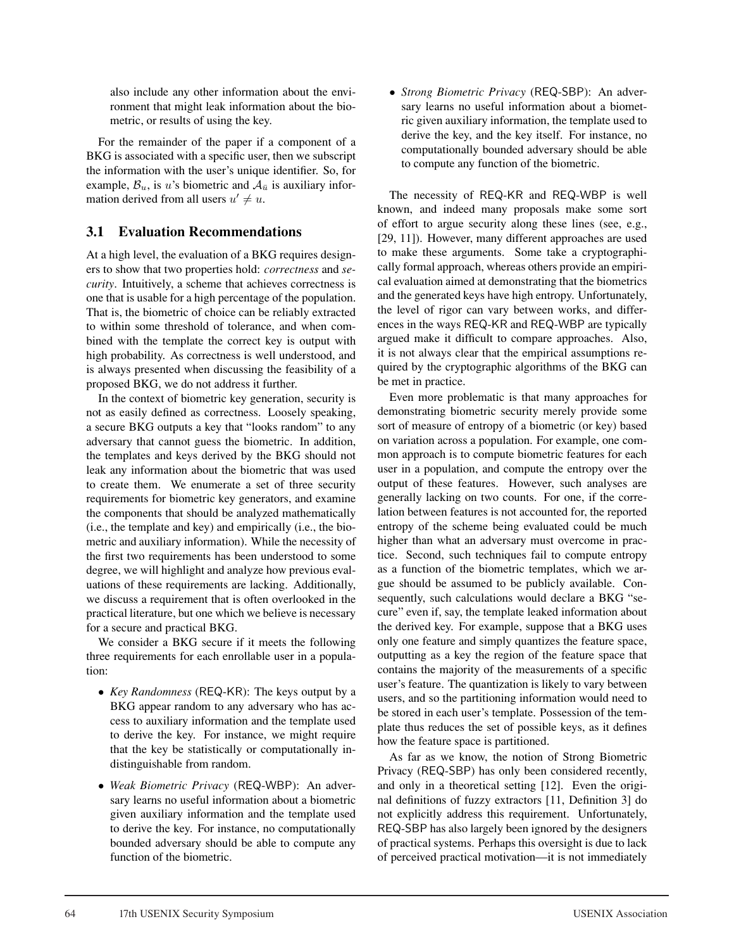also include any other information about the environment that might leak information about the biometric, or results of using the key.

For the remainder of the paper if a component of a BKG is associated with a specific user, then we subscript the information with the user's unique identifier. So, for example,  $\mathcal{B}_u$ , is u's biometric and  $\mathcal{A}_{\bar{u}}$  is auxiliary information derived from all users  $u' \neq u$ .

## **3.1 Evaluation Recommendations**

At a high level, the evaluation of a BKG requires designers to show that two properties hold: *correctness* and *security*. Intuitively, a scheme that achieves correctness is one that is usable for a high percentage of the population. That is, the biometric of choice can be reliably extracted to within some threshold of tolerance, and when combined with the template the correct key is output with high probability. As correctness is well understood, and is always presented when discussing the feasibility of a proposed BKG, we do not address it further.

In the context of biometric key generation, security is not as easily defined as correctness. Loosely speaking, a secure BKG outputs a key that "looks random" to any adversary that cannot guess the biometric. In addition, the templates and keys derived by the BKG should not leak any information about the biometric that was used to create them. We enumerate a set of three security requirements for biometric key generators, and examine the components that should be analyzed mathematically (i.e., the template and key) and empirically (i.e., the biometric and auxiliary information). While the necessity of the first two requirements has been understood to some degree, we will highlight and analyze how previous evaluations of these requirements are lacking. Additionally, we discuss a requirement that is often overlooked in the practical literature, but one which we believe is necessary for a secure and practical BKG.

We consider a BKG secure if it meets the following three requirements for each enrollable user in a population:

- *Key Randomness* (REQ-KR): The keys output by a BKG appear random to any adversary who has access to auxiliary information and the template used to derive the key. For instance, we might require that the key be statistically or computationally indistinguishable from random.
- *Weak Biometric Privacy* (REQ-WBP): An adversary learns no useful information about a biometric given auxiliary information and the template used to derive the key. For instance, no computationally bounded adversary should be able to compute any function of the biometric.

• *Strong Biometric Privacy* (REQ-SBP): An adversary learns no useful information about a biometric given auxiliary information, the template used to derive the key, and the key itself. For instance, no computationally bounded adversary should be able to compute any function of the biometric.

The necessity of REQ-KR and REQ-WBP is well known, and indeed many proposals make some sort of effort to argue security along these lines (see, e.g., [29, 11]). However, many different approaches are used to make these arguments. Some take a cryptographically formal approach, whereas others provide an empirical evaluation aimed at demonstrating that the biometrics and the generated keys have high entropy. Unfortunately, the level of rigor can vary between works, and differences in the ways REQ-KR and REQ-WBP are typically argued make it difficult to compare approaches. Also, it is not always clear that the empirical assumptions required by the cryptographic algorithms of the BKG can be met in practice.

Even more problematic is that many approaches for demonstrating biometric security merely provide some sort of measure of entropy of a biometric (or key) based on variation across a population. For example, one common approach is to compute biometric features for each user in a population, and compute the entropy over the output of these features. However, such analyses are generally lacking on two counts. For one, if the correlation between features is not accounted for, the reported entropy of the scheme being evaluated could be much higher than what an adversary must overcome in practice. Second, such techniques fail to compute entropy as a function of the biometric templates, which we argue should be assumed to be publicly available. Consequently, such calculations would declare a BKG "secure" even if, say, the template leaked information about the derived key. For example, suppose that a BKG uses only one feature and simply quantizes the feature space, outputting as a key the region of the feature space that contains the majority of the measurements of a specific user's feature. The quantization is likely to vary between users, and so the partitioning information would need to be stored in each user's template. Possession of the template thus reduces the set of possible keys, as it defines how the feature space is partitioned.

As far as we know, the notion of Strong Biometric Privacy (REQ-SBP) has only been considered recently, and only in a theoretical setting [12]. Even the original definitions of fuzzy extractors [11, Definition 3] do not explicitly address this requirement. Unfortunately, REQ-SBP has also largely been ignored by the designers of practical systems. Perhaps this oversight is due to lack of perceived practical motivation—it is not immediately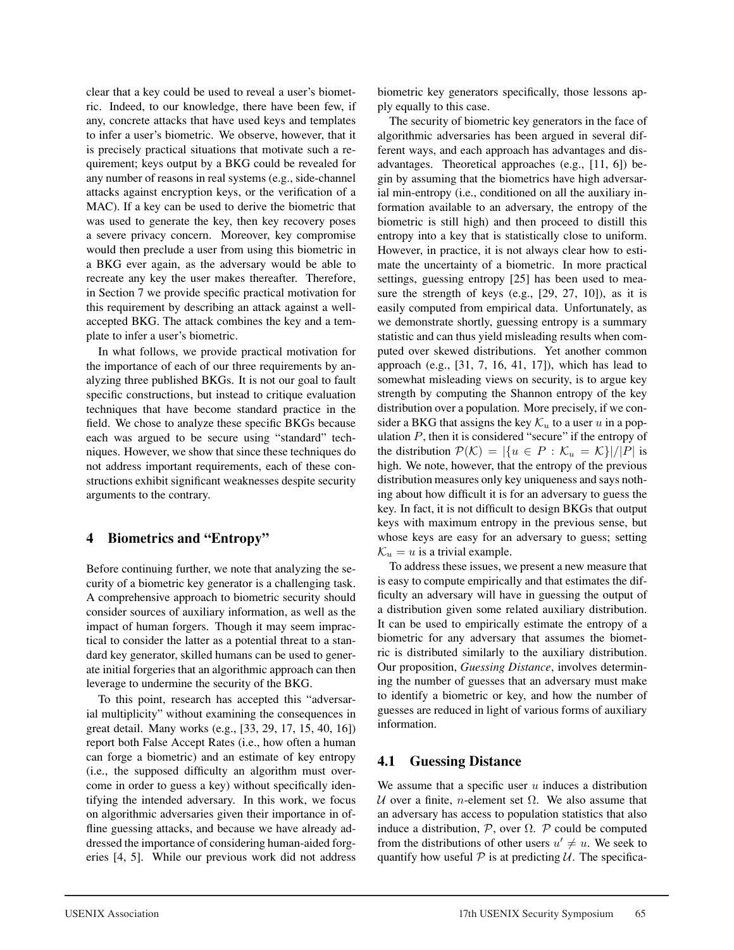clear that a key could be used to reveal a user's biometric. Indeed, to our knowledge, there have been few, if any, concrete attacks that have used keys and templates to infer a user's biometric. We observe, however, that it is precisely practical situations that motivate such a requirement; keys output by a BKG could be revealed for any number of reasons in real systems (e.g., side-channel attacks against encryption keys, or the verification of a MAC). If a key can be used to derive the biometric that was used to generate the key, then key recovery poses a severe privacy concern. Moreover, key compromise would then preclude a user from using this biometric in a BKG ever again, as the adversary would be able to recreate any key the user makes thereafter. Therefore, in Section 7 we provide specific practical motivation for this requirement by describing an attack against a wellaccepted BKG. The attack combines the key and a template to infer a user's biometric.

In what follows, we provide practical motivation for the importance of each of our three requirements by analyzing three published BKGs. It is not our goal to fault specific constructions, but instead to critique evaluation techniques that have become standard practice in the field. We chose to analyze these specific BKGs because each was argued to be secure using "standard" techniques. However, we show that since these techniques do not address important requirements, each of these constructions exhibit significant weaknesses despite security arguments to the contrary.

## **4 Biometrics and "Entropy"**

Before continuing further, we note that analyzing the security of a biometric key generator is a challenging task. A comprehensive approach to biometric security should consider sources of auxiliary information, as well as the impact of human forgers. Though it may seem impractical to consider the latter as a potential threat to a standard key generator, skilled humans can be used to generate initial forgeries that an algorithmic approach can then leverage to undermine the security of the BKG.

To this point, research has accepted this "adversarial multiplicity" without examining the consequences in great detail. Many works (e.g., [33, 29, 17, 15, 40, 16]) report both False Accept Rates (i.e., how often a human can forge a biometric) and an estimate of key entropy (i.e., the supposed difficulty an algorithm must overcome in order to guess a key) without specifically identifying the intended adversary. In this work, we focus on algorithmic adversaries given their importance in offline guessing attacks, and because we have already addressed the importance of considering human-aided forgeries [4, 5]. While our previous work did not address biometric key generators specifically, those lessons apply equally to this case.

The security of biometric key generators in the face of algorithmic adversaries has been argued in several different ways, and each approach has advantages and disadvantages. Theoretical approaches (e.g., [11, 6]) begin by assuming that the biometrics have high adversarial min-entropy (i.e., conditioned on all the auxiliary information available to an adversary, the entropy of the biometric is still high) and then proceed to distill this entropy into a key that is statistically close to uniform. However, in practice, it is not always clear how to estimate the uncertainty of a biometric. In more practical settings, guessing entropy [25] has been used to measure the strength of keys (e.g., [29, 27, 10]), as it is easily computed from empirical data. Unfortunately, as we demonstrate shortly, guessing entropy is a summary statistic and can thus yield misleading results when computed over skewed distributions. Yet another common approach (e.g., [31, 7, 16, 41, 17]), which has lead to somewhat misleading views on security, is to argue key strength by computing the Shannon entropy of the key distribution over a population. More precisely, if we consider a BKG that assigns the key  $\mathcal{K}_u$  to a user u in a population  $P$ , then it is considered "secure" if the entropy of the distribution  $\mathcal{P}(\mathcal{K}) = |\{u \in P : \mathcal{K}_u = \mathcal{K}\}|/|P|$  is high. We note, however, that the entropy of the previous distribution measures only key uniqueness and says nothing about how difficult it is for an adversary to guess the key. In fact, it is not difficult to design BKGs that output keys with maximum entropy in the previous sense, but whose keys are easy for an adversary to guess; setting  $\mathcal{K}_u = u$  is a trivial example.

To address these issues, we present a new measure that is easy to compute empirically and that estimates the difficulty an adversary will have in guessing the output of a distribution given some related auxiliary distribution. It can be used to empirically estimate the entropy of a biometric for any adversary that assumes the biometric is distributed similarly to the auxiliary distribution. Our proposition, *Guessing Distance*, involves determining the number of guesses that an adversary must make to identify a biometric or key, and how the number of guesses are reduced in light of various forms of auxiliary information.

## **4.1 Guessing Distance**

We assume that a specific user  $u$  induces a distribution U over a finite, *n*-element set  $\Omega$ . We also assume that an adversary has access to population statistics that also induce a distribution,  $P$ , over  $\Omega$ . P could be computed from the distributions of other users  $u' \neq u$ . We seek to quantify how useful  $P$  is at predicting  $U$ . The specifica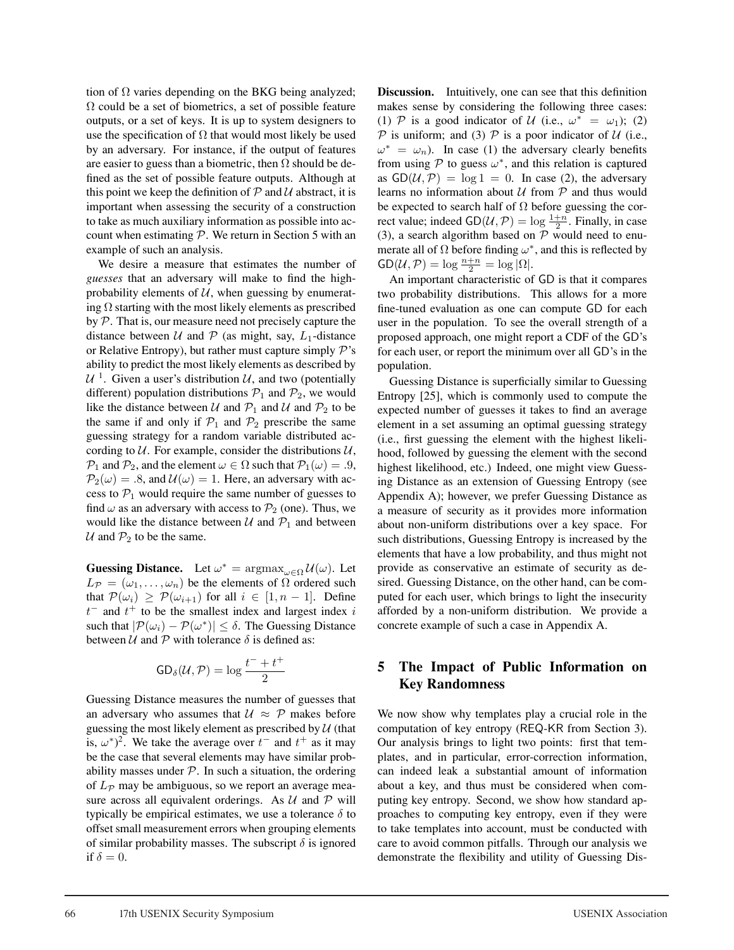tion of  $\Omega$  varies depending on the BKG being analyzed;  $\Omega$  could be a set of biometrics, a set of possible feature outputs, or a set of keys. It is up to system designers to use the specification of  $\Omega$  that would most likely be used by an adversary. For instance, if the output of features are easier to guess than a biometric, then  $\Omega$  should be defined as the set of possible feature outputs. Although at this point we keep the definition of  $P$  and  $U$  abstract, it is important when assessing the security of a construction to take as much auxiliary information as possible into account when estimating  $P$ . We return in Section 5 with an example of such an analysis.

We desire a measure that estimates the number of *guesses* that an adversary will make to find the highprobability elements of  $U$ , when guessing by enumerating  $\Omega$  starting with the most likely elements as prescribed by P. That is, our measure need not precisely capture the distance between  $U$  and  $P$  (as might, say,  $L_1$ -distance or Relative Entropy), but rather must capture simply  $P$ 's ability to predict the most likely elements as described by  $U^1$ . Given a user's distribution U, and two (potentially different) population distributions  $P_1$  and  $P_2$ , we would like the distance between U and  $P_1$  and U and  $P_2$  to be the same if and only if  $P_1$  and  $P_2$  prescribe the same guessing strategy for a random variable distributed according to  $U$ . For example, consider the distributions  $U$ ,  $\mathcal{P}_1$  and  $\mathcal{P}_2$ , and the element  $\omega \in \Omega$  such that  $\mathcal{P}_1(\omega) = .9$ ,  $\mathcal{P}_2(\omega) = .8$ , and  $\mathcal{U}(\omega) = 1$ . Here, an adversary with access to  $P_1$  would require the same number of guesses to find  $\omega$  as an adversary with access to  $\mathcal{P}_2$  (one). Thus, we would like the distance between  $U$  and  $P_1$  and between U and  $\mathcal{P}_2$  to be the same.

**Guessing Distance.** Let  $\omega^* = \argmax_{\omega \in \Omega} U(\omega)$ . Let  $L_{\mathcal{P}} = (\omega_1, \dots, \omega_n)$  be the elements of  $\Omega$  ordered such that  $\mathcal{P}(\omega_i) \geq \mathcal{P}(\omega_{i+1})$  for all  $i \in [1, n-1]$ . Define  $t^{-}$  and  $t^{+}$  to be the smallest index and largest index i such that  $|\mathcal{P}(\omega_i) - \mathcal{P}(\omega^*)| \leq \delta$ . The Guessing Distance between  $U$  and  $P$  with tolerance  $\delta$  is defined as:

$$
\mathsf{GD}_{\delta}(\mathcal{U}, \mathcal{P}) = \log \frac{t^- + t^+}{2}
$$

Guessing Distance measures the number of guesses that an adversary who assumes that  $U \approx \mathcal{P}$  makes before guessing the most likely element as prescribed by  $U$  (that is,  $\omega^*$ )<sup>2</sup>. We take the average over  $t^-$  and  $t^+$  as it may be the case that several elements may have similar probability masses under  $P$ . In such a situation, the ordering of  $L_p$  may be ambiguous, so we report an average measure across all equivalent orderings. As  $U$  and  $P$  will typically be empirical estimates, we use a tolerance  $\delta$  to offset small measurement errors when grouping elements of similar probability masses. The subscript  $\delta$  is ignored if  $\delta = 0$ .

**Discussion.** Intuitively, one can see that this definition makes sense by considering the following three cases: (1) P is a good indicator of U (i.e.,  $\omega^* = \omega_1$ ); (2)  $P$  is uniform; and (3)  $P$  is a poor indicator of  $U$  (i.e.,  $\omega^* = \omega_n$ ). In case (1) the adversary clearly benefits from using  $\mathcal P$  to guess  $\omega^*$ , and this relation is captured as  $GD(\mathcal{U}, \mathcal{P}) = \log 1 = 0$ . In case (2), the adversary learns no information about  $U$  from  $P$  and thus would be expected to search half of  $\Omega$  before guessing the correct value; indeed  $GD(\mathcal{U}, \mathcal{P}) = \log \frac{1+n}{2}$ . Finally, in case (3), a search algorithm based on  $P$  would need to enumerate all of  $\Omega$  before finding  $\omega^*$ , and this is reflected by  $GD(\mathcal{U}, \mathcal{P}) = \log \frac{n+n}{2} = \log |\Omega|.$ 

An important characteristic of GD is that it compares two probability distributions. This allows for a more fine-tuned evaluation as one can compute GD for each user in the population. To see the overall strength of a proposed approach, one might report a CDF of the GD's for each user, or report the minimum over all GD's in the population.

Guessing Distance is superficially similar to Guessing Entropy [25], which is commonly used to compute the expected number of guesses it takes to find an average element in a set assuming an optimal guessing strategy (i.e., first guessing the element with the highest likelihood, followed by guessing the element with the second highest likelihood, etc.) Indeed, one might view Guessing Distance as an extension of Guessing Entropy (see Appendix A); however, we prefer Guessing Distance as a measure of security as it provides more information about non-uniform distributions over a key space. For such distributions, Guessing Entropy is increased by the elements that have a low probability, and thus might not provide as conservative an estimate of security as desired. Guessing Distance, on the other hand, can be computed for each user, which brings to light the insecurity afforded by a non-uniform distribution. We provide a concrete example of such a case in Appendix A.

### **5 The Impact of Public Information on Key Randomness**

We now show why templates play a crucial role in the computation of key entropy (REQ-KR from Section 3). Our analysis brings to light two points: first that templates, and in particular, error-correction information, can indeed leak a substantial amount of information about a key, and thus must be considered when computing key entropy. Second, we show how standard approaches to computing key entropy, even if they were to take templates into account, must be conducted with care to avoid common pitfalls. Through our analysis we demonstrate the flexibility and utility of Guessing Dis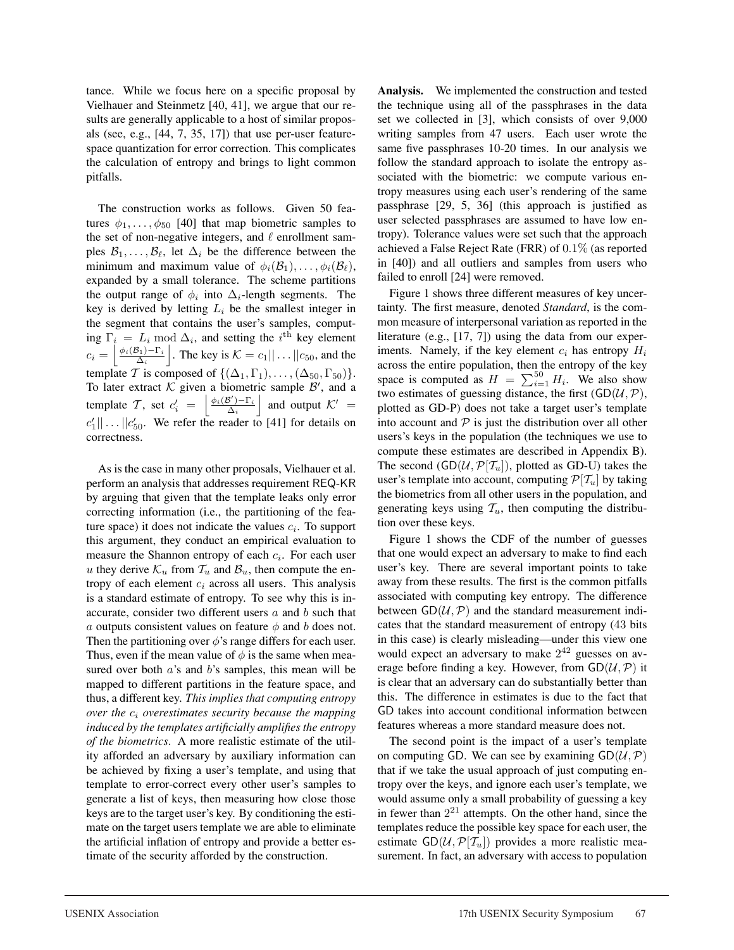tance. While we focus here on a specific proposal by Vielhauer and Steinmetz [40, 41], we argue that our results are generally applicable to a host of similar proposals (see, e.g., [44, 7, 35, 17]) that use per-user featurespace quantization for error correction. This complicates the calculation of entropy and brings to light common pitfalls.

The construction works as follows. Given 50 features  $\phi_1, \ldots, \phi_{50}$  [40] that map biometric samples to the set of non-negative integers, and  $\ell$  enrollment samples  $B_1, \ldots, B_\ell$ , let  $\Delta_i$  be the difference between the minimum and maximum value of  $\phi_i(\mathcal{B}_1), \ldots, \phi_i(\mathcal{B}_\ell)$ , expanded by a small tolerance. The scheme partitions the output range of  $\phi_i$  into  $\Delta_i$ -length segments. The key is derived by letting  $L_i$  be the smallest integer in the segment that contains the user's samples, computing  $\Gamma_i = L_i \text{ mod } \Delta_i$ , and setting the  $i^{\text{th}}$  key element  $c_i = \left[\frac{\phi_i(\mathcal{B}_1) - \Gamma_i}{\Delta_i}\right]$  $\Delta_i$ . The key is  $K = c_1 || \dots || c_{50}$ , and the template T is composed of  $\{(\Delta_1, \Gamma_1), \ldots, (\Delta_{50}, \Gamma_{50})\}.$ To later extract  $K$  given a biometric sample  $\mathcal{B}'$ , and a template T, set  $c_i' = \begin{bmatrix} \frac{\phi_i(\mathcal{B}') - \Gamma_i}{\Delta_i} \end{bmatrix}$  $\Delta_i$ | and output  $K' =$  $c'_1 || \dots || c'_{50}$ . We refer the reader to [41] for details on correctness.

As is the case in many other proposals, Vielhauer et al. perform an analysis that addresses requirement REQ-KR by arguing that given that the template leaks only error correcting information (i.e., the partitioning of the feature space) it does not indicate the values  $c_i$ . To support this argument, they conduct an empirical evaluation to measure the Shannon entropy of each  $c_i$ . For each user u they derive  $\mathcal{K}_u$  from  $\mathcal{T}_u$  and  $\mathcal{B}_u$ , then compute the entropy of each element  $c_i$  across all users. This analysis is a standard estimate of entropy. To see why this is inaccurate, consider two different users  $a$  and  $b$  such that a outputs consistent values on feature  $\phi$  and b does not. Then the partitioning over  $\phi$ 's range differs for each user. Thus, even if the mean value of  $\phi$  is the same when measured over both *a*'s and *b*'s samples, this mean will be mapped to different partitions in the feature space, and thus, a different key. *This implies that computing entropy over the* c<sup>i</sup> *overestimates security because the mapping induced by the templates artificially amplifies the entropy of the biometrics.* A more realistic estimate of the utility afforded an adversary by auxiliary information can be achieved by fixing a user's template, and using that template to error-correct every other user's samples to generate a list of keys, then measuring how close those keys are to the target user's key. By conditioning the estimate on the target users template we are able to eliminate the artificial inflation of entropy and provide a better estimate of the security afforded by the construction.

**Analysis.** We implemented the construction and tested the technique using all of the passphrases in the data set we collected in [3], which consists of over 9,000 writing samples from 47 users. Each user wrote the same five passphrases 10-20 times. In our analysis we follow the standard approach to isolate the entropy associated with the biometric: we compute various entropy measures using each user's rendering of the same passphrase [29, 5, 36] (this approach is justified as user selected passphrases are assumed to have low entropy). Tolerance values were set such that the approach achieved a False Reject Rate (FRR) of 0.1% (as reported in [40]) and all outliers and samples from users who failed to enroll [24] were removed.

Figure 1 shows three different measures of key uncertainty. The first measure, denoted *Standard*, is the common measure of interpersonal variation as reported in the literature (e.g., [17, 7]) using the data from our experiments. Namely, if the key element  $c_i$  has entropy  $H_i$ across the entire population, then the entropy of the key space is computed as  $H = \sum_{i=1}^{50} H_i$ . We also show two estimates of guessing distance, the first  $(GD(\mathcal{U}, \mathcal{P}))$ , plotted as GD-P) does not take a target user's template into account and  $P$  is just the distribution over all other users's keys in the population (the techniques we use to compute these estimates are described in Appendix B). The second  $(GD(\mathcal{U}, \mathcal{P}[\mathcal{T}_u]),$  plotted as GD-U) takes the user's template into account, computing  $\mathcal{P}[\mathcal{T}_u]$  by taking the biometrics from all other users in the population, and generating keys using  $\mathcal{T}_u$ , then computing the distribution over these keys.

Figure 1 shows the CDF of the number of guesses that one would expect an adversary to make to find each user's key. There are several important points to take away from these results. The first is the common pitfalls associated with computing key entropy. The difference between  $GD(\mathcal{U}, \mathcal{P})$  and the standard measurement indicates that the standard measurement of entropy (43 bits in this case) is clearly misleading—under this view one would expect an adversary to make  $2^{42}$  guesses on average before finding a key. However, from  $GD(\mathcal{U}, \mathcal{P})$  it is clear that an adversary can do substantially better than this. The difference in estimates is due to the fact that GD takes into account conditional information between features whereas a more standard measure does not.

The second point is the impact of a user's template on computing GD. We can see by examining  $GD(\mathcal{U}, \mathcal{P})$ that if we take the usual approach of just computing entropy over the keys, and ignore each user's template, we would assume only a small probability of guessing a key in fewer than  $2^{21}$  attempts. On the other hand, since the templates reduce the possible key space for each user, the estimate  $GD(\mathcal{U}, \mathcal{P}[\mathcal{T}_u])$  provides a more realistic measurement. In fact, an adversary with access to population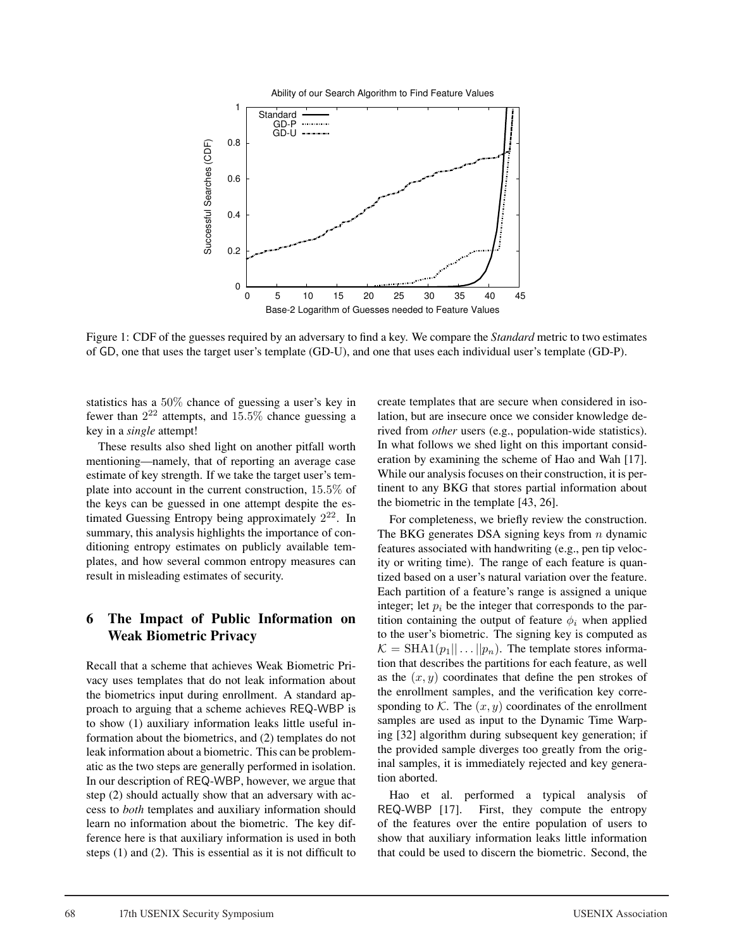

Figure 1: CDF of the guesses required by an adversary to find a key. We compare the *Standard* metric to two estimates of GD, one that uses the target user's template (GD-U), and one that uses each individual user's template (GD-P).

statistics has a 50% chance of guessing a user's key in fewer than  $2^{22}$  attempts, and  $15.5\%$  chance guessing a key in a *single* attempt!

These results also shed light on another pitfall worth mentioning—namely, that of reporting an average case estimate of key strength. If we take the target user's template into account in the current construction, 15.5% of the keys can be guessed in one attempt despite the estimated Guessing Entropy being approximately  $2^{22}$ . In summary, this analysis highlights the importance of conditioning entropy estimates on publicly available templates, and how several common entropy measures can result in misleading estimates of security.

### **6 The Impact of Public Information on Weak Biometric Privacy**

Recall that a scheme that achieves Weak Biometric Privacy uses templates that do not leak information about the biometrics input during enrollment. A standard approach to arguing that a scheme achieves REQ-WBP is to show (1) auxiliary information leaks little useful information about the biometrics, and (2) templates do not leak information about a biometric. This can be problematic as the two steps are generally performed in isolation. In our description of REQ-WBP, however, we argue that step (2) should actually show that an adversary with access to *both* templates and auxiliary information should learn no information about the biometric. The key difference here is that auxiliary information is used in both steps (1) and (2). This is essential as it is not difficult to create templates that are secure when considered in isolation, but are insecure once we consider knowledge derived from *other* users (e.g., population-wide statistics). In what follows we shed light on this important consideration by examining the scheme of Hao and Wah [17]. While our analysis focuses on their construction, it is pertinent to any BKG that stores partial information about the biometric in the template [43, 26].

For completeness, we briefly review the construction. The BKG generates DSA signing keys from  $n$  dynamic features associated with handwriting (e.g., pen tip velocity or writing time). The range of each feature is quantized based on a user's natural variation over the feature. Each partition of a feature's range is assigned a unique integer; let  $p_i$  be the integer that corresponds to the partition containing the output of feature  $\phi_i$  when applied to the user's biometric. The signing key is computed as  $\mathcal{K} = \text{SHA1}(p_1 || \dots || p_n)$ . The template stores information that describes the partitions for each feature, as well as the  $(x, y)$  coordinates that define the pen strokes of the enrollment samples, and the verification key corresponding to K. The  $(x, y)$  coordinates of the enrollment samples are used as input to the Dynamic Time Warping [32] algorithm during subsequent key generation; if the provided sample diverges too greatly from the original samples, it is immediately rejected and key generation aborted.

Hao et al. performed a typical analysis of REQ-WBP [17]. First, they compute the entropy of the features over the entire population of users to show that auxiliary information leaks little information that could be used to discern the biometric. Second, the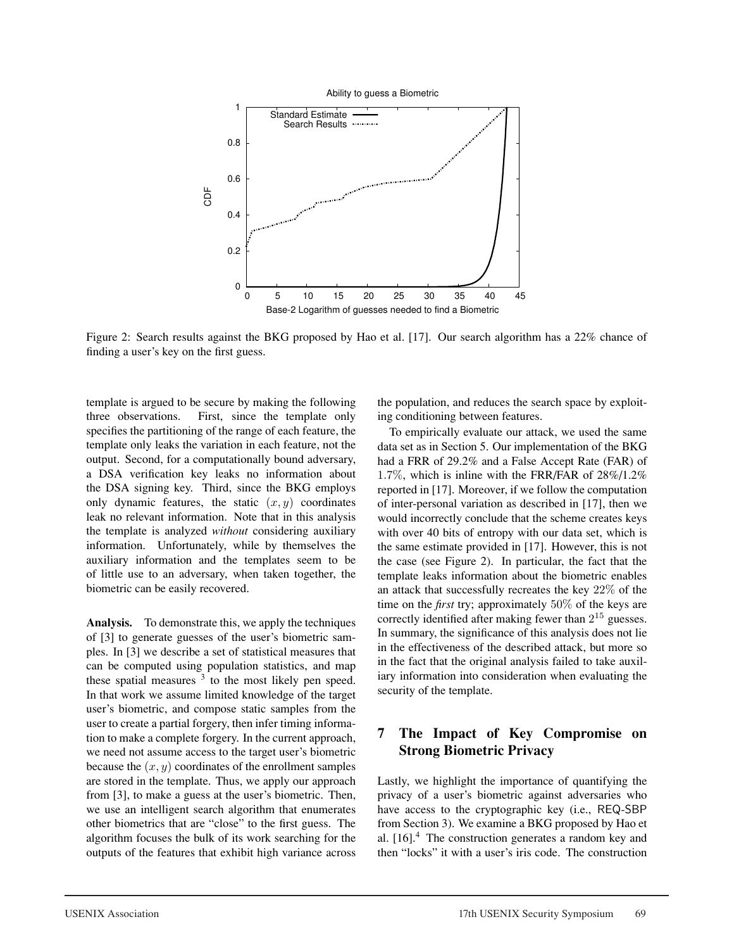

Figure 2: Search results against the BKG proposed by Hao et al. [17]. Our search algorithm has a 22% chance of finding a user's key on the first guess.

template is argued to be secure by making the following three observations. First, since the template only specifies the partitioning of the range of each feature, the template only leaks the variation in each feature, not the output. Second, for a computationally bound adversary, a DSA verification key leaks no information about the DSA signing key. Third, since the BKG employs only dynamic features, the static  $(x, y)$  coordinates leak no relevant information. Note that in this analysis the template is analyzed *without* considering auxiliary information. Unfortunately, while by themselves the auxiliary information and the templates seem to be of little use to an adversary, when taken together, the biometric can be easily recovered.

**Analysis.** To demonstrate this, we apply the techniques of [3] to generate guesses of the user's biometric samples. In [3] we describe a set of statistical measures that can be computed using population statistics, and map these spatial measures  $3$  to the most likely pen speed. In that work we assume limited knowledge of the target user's biometric, and compose static samples from the user to create a partial forgery, then infer timing information to make a complete forgery. In the current approach, we need not assume access to the target user's biometric because the  $(x, y)$  coordinates of the enrollment samples are stored in the template. Thus, we apply our approach from [3], to make a guess at the user's biometric. Then, we use an intelligent search algorithm that enumerates other biometrics that are "close" to the first guess. The algorithm focuses the bulk of its work searching for the outputs of the features that exhibit high variance across the population, and reduces the search space by exploiting conditioning between features.

To empirically evaluate our attack, we used the same data set as in Section 5. Our implementation of the BKG had a FRR of 29.2% and a False Accept Rate (FAR) of 1.7%, which is inline with the FRR/FAR of 28%/1.2% reported in [17]. Moreover, if we follow the computation of inter-personal variation as described in [17], then we would incorrectly conclude that the scheme creates keys with over 40 bits of entropy with our data set, which is the same estimate provided in [17]. However, this is not the case (see Figure 2). In particular, the fact that the template leaks information about the biometric enables an attack that successfully recreates the key 22% of the time on the *first* try; approximately 50% of the keys are correctly identified after making fewer than 2<sup>15</sup> guesses. In summary, the significance of this analysis does not lie in the effectiveness of the described attack, but more so in the fact that the original analysis failed to take auxiliary information into consideration when evaluating the security of the template.

## **7 The Impact of Key Compromise on Strong Biometric Privacy**

Lastly, we highlight the importance of quantifying the privacy of a user's biometric against adversaries who have access to the cryptographic key (i.e., REQ-SBP from Section 3). We examine a BKG proposed by Hao et al.  $[16]$ <sup>4</sup>. The construction generates a random key and then "locks" it with a user's iris code. The construction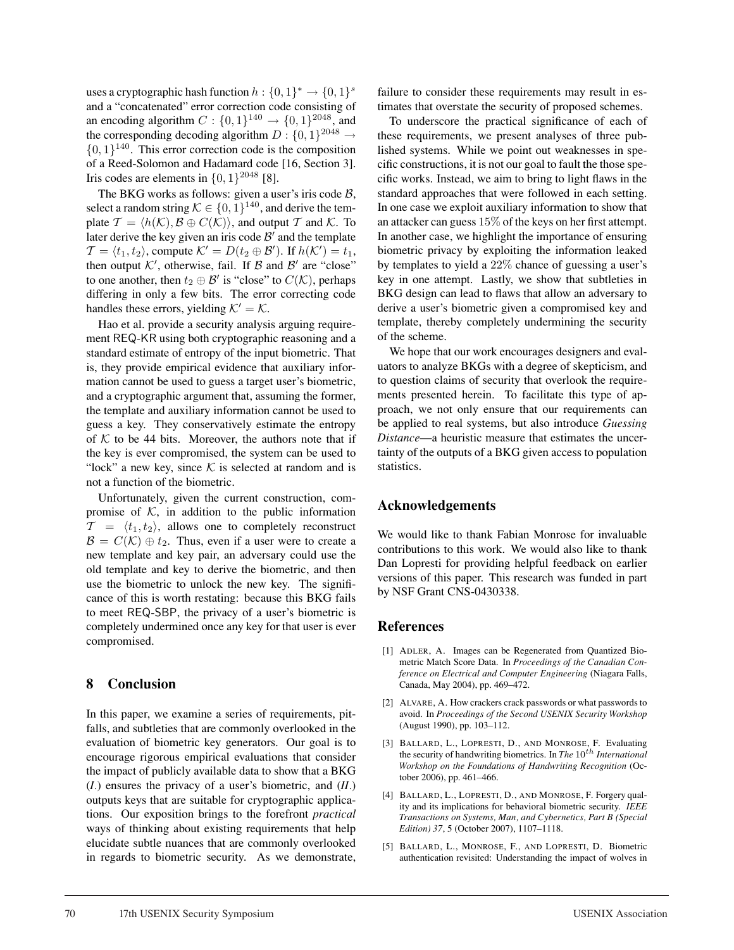uses a cryptographic hash function  $h: \{0,1\}^* \to \{0,1\}^s$ and a "concatenated" error correction code consisting of an encoding algorithm  $C : \{0, 1\}^{140} \rightarrow \{0, 1\}^{2048}$ , and the corresponding decoding algorithm  $D : \{0, 1\}^{2048} \rightarrow$  $\{0, 1\}^{140}$ . This error correction code is the composition of a Reed-Solomon and Hadamard code [16, Section 3]. Iris codes are elements in  $\{0, 1\}^{2048}$  [8].

The BKG works as follows: given a user's iris code  $\beta$ , select a random string  $K \in \{0, 1\}^{140}$ , and derive the template  $\mathcal{T} = \langle h(\mathcal{K}), \mathcal{B} \oplus C(\mathcal{K}) \rangle$ , and output  $\mathcal{T}$  and  $\mathcal{K}$ . To later derive the key given an iris code  $\mathcal{B}'$  and the template  $\mathcal{T} = \langle t_1, t_2 \rangle$ , compute  $\mathcal{K}' = D(t_2 \oplus \mathcal{B}')$ . If  $h(\mathcal{K}') = t_1$ , then output  $K'$ , otherwise, fail. If  $\mathcal B$  and  $\mathcal B'$  are "close" to one another, then  $t_2 \oplus \mathcal{B}'$  is "close" to  $C(\mathcal{K})$ , perhaps differing in only a few bits. The error correcting code handles these errors, yielding  $K' = K$ .

Hao et al. provide a security analysis arguing requirement REQ-KR using both cryptographic reasoning and a standard estimate of entropy of the input biometric. That is, they provide empirical evidence that auxiliary information cannot be used to guess a target user's biometric, and a cryptographic argument that, assuming the former, the template and auxiliary information cannot be used to guess a key. They conservatively estimate the entropy of  $K$  to be 44 bits. Moreover, the authors note that if the key is ever compromised, the system can be used to "lock" a new key, since  $K$  is selected at random and is not a function of the biometric.

Unfortunately, given the current construction, compromise of  $K$ , in addition to the public information  $\mathcal{T} = \langle t_1, t_2 \rangle$ , allows one to completely reconstruct  $\mathcal{B} = C(\mathcal{K}) \oplus t_2$ . Thus, even if a user were to create a new template and key pair, an adversary could use the old template and key to derive the biometric, and then use the biometric to unlock the new key. The significance of this is worth restating: because this BKG fails to meet REQ-SBP, the privacy of a user's biometric is completely undermined once any key for that user is ever compromised.

#### **8 Conclusion**

In this paper, we examine a series of requirements, pitfalls, and subtleties that are commonly overlooked in the evaluation of biometric key generators. Our goal is to encourage rigorous empirical evaluations that consider the impact of publicly available data to show that a BKG (*I.*) ensures the privacy of a user's biometric, and (*II.*) outputs keys that are suitable for cryptographic applications. Our exposition brings to the forefront *practical* ways of thinking about existing requirements that help elucidate subtle nuances that are commonly overlooked in regards to biometric security. As we demonstrate, failure to consider these requirements may result in estimates that overstate the security of proposed schemes.

To underscore the practical significance of each of these requirements, we present analyses of three published systems. While we point out weaknesses in specific constructions, it is not our goal to fault the those specific works. Instead, we aim to bring to light flaws in the standard approaches that were followed in each setting. In one case we exploit auxiliary information to show that an attacker can guess 15% of the keys on her first attempt. In another case, we highlight the importance of ensuring biometric privacy by exploiting the information leaked by templates to yield a 22% chance of guessing a user's key in one attempt. Lastly, we show that subtleties in BKG design can lead to flaws that allow an adversary to derive a user's biometric given a compromised key and template, thereby completely undermining the security of the scheme.

We hope that our work encourages designers and evaluators to analyze BKGs with a degree of skepticism, and to question claims of security that overlook the requirements presented herein. To facilitate this type of approach, we not only ensure that our requirements can be applied to real systems, but also introduce *Guessing Distance*—a heuristic measure that estimates the uncertainty of the outputs of a BKG given access to population statistics.

### **Acknowledgements**

We would like to thank Fabian Monrose for invaluable contributions to this work. We would also like to thank Dan Lopresti for providing helpful feedback on earlier versions of this paper. This research was funded in part by NSF Grant CNS-0430338.

#### **References**

- [1] ADLER, A. Images can be Regenerated from Quantized Biometric Match Score Data. In *Proceedings of the Canadian Conference on Electrical and Computer Engineering* (Niagara Falls, Canada, May 2004), pp. 469–472.
- [2] ALVARE, A. How crackers crack passwords or what passwords to avoid. In *Proceedings of the Second USENIX Security Workshop* (August 1990), pp. 103–112.
- [3] BALLARD, L., LOPRESTI, D., AND MONROSE, F. Evaluating the security of handwriting biometrics. In *The*  $10^{th}$  *International Workshop on the Foundations of Handwriting Recognition* (October 2006), pp. 461–466.
- [4] BALLARD, L., LOPRESTI, D., AND MONROSE, F. Forgery quality and its implications for behavioral biometric security. *IEEE Transactions on Systems, Man, and Cybernetics, Part B (Special Edition) 37*, 5 (October 2007), 1107–1118.
- [5] BALLARD, L., MONROSE, F., AND LOPRESTI, D. Biometric authentication revisited: Understanding the impact of wolves in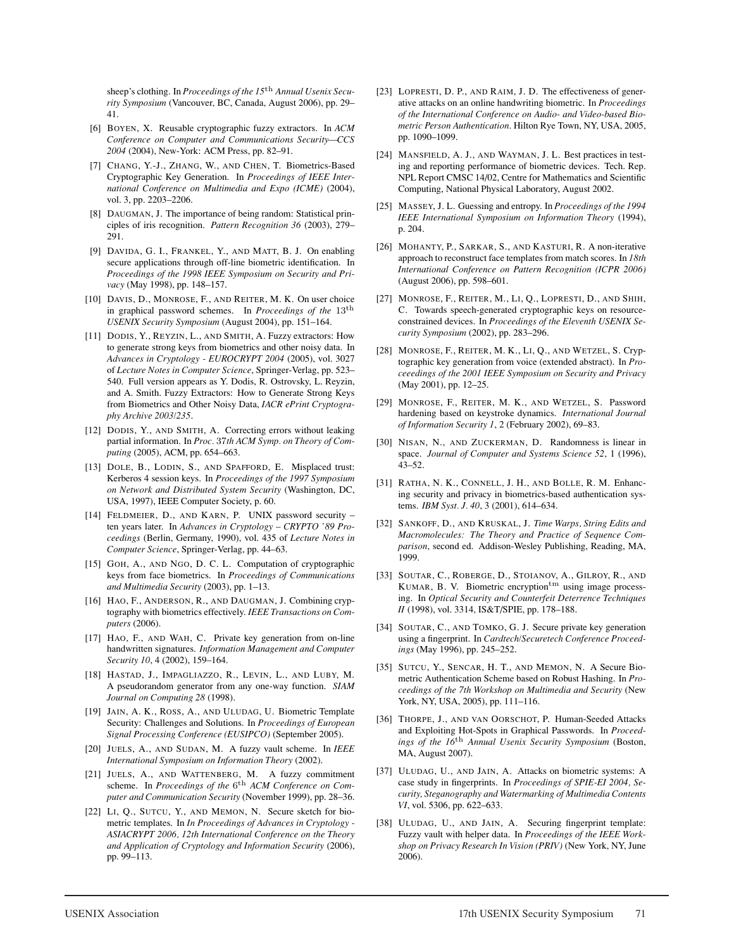sheep's clothing. In *Proceedings of the 15*th *Annual Usenix Security Symposium* (Vancouver, BC, Canada, August 2006), pp. 29– 41.

- [6] BOYEN, X. Reusable cryptographic fuzzy extractors. In *ACM Conference on Computer and Communications Security—CCS 2004* (2004), New-York: ACM Press, pp. 82–91.
- [7] CHANG, Y.-J., ZHANG, W., AND CHEN, T. Biometrics-Based Cryptographic Key Generation. In *Proceedings of IEEE International Conference on Multimedia and Expo (ICME)* (2004), vol. 3, pp. 2203–2206.
- [8] DAUGMAN, J. The importance of being random: Statistical principles of iris recognition. *Pattern Recognition 36* (2003), 279– 291.
- [9] DAVIDA, G. I., FRANKEL, Y., AND MATT, B. J. On enabling secure applications through off-line biometric identification. In *Proceedings of the 1998 IEEE Symposium on Security and Privacy* (May 1998), pp. 148–157.
- [10] DAVIS, D., MONROSE, F., AND REITER, M. K. On user choice in graphical password schemes. In *Proceedings of the* 13th *USENIX Security Symposium* (August 2004), pp. 151–164.
- [11] DODIS, Y., REYZIN, L., AND SMITH, A. Fuzzy extractors: How to generate strong keys from biometrics and other noisy data. In *Advances in Cryptology - EUROCRYPT 2004* (2005), vol. 3027 of *Lecture Notes in Computer Science*, Springer-Verlag, pp. 523– 540. Full version appears as Y. Dodis, R. Ostrovsky, L. Reyzin, and A. Smith. Fuzzy Extractors: How to Generate Strong Keys from Biometrics and Other Noisy Data, *IACR ePrint Cryptography Archive 2003/235*.
- [12] DODIS, Y., AND SMITH, A. Correcting errors without leaking partial information. In *Proc.* 37*th ACM Symp. on Theory of Computing* (2005), ACM, pp. 654–663.
- [13] DOLE, B., LODIN, S., AND SPAFFORD, E. Misplaced trust: Kerberos 4 session keys. In *Proceedings of the 1997 Symposium on Network and Distributed System Security* (Washington, DC, USA, 1997), IEEE Computer Society, p. 60.
- [14] FELDMEIER, D., AND KARN, P. UNIX password security ten years later. In *Advances in Cryptology – CRYPTO '89 Proceedings* (Berlin, Germany, 1990), vol. 435 of *Lecture Notes in Computer Science*, Springer-Verlag, pp. 44–63.
- [15] GOH, A., AND NGO, D. C. L. Computation of cryptographic keys from face biometrics. In *Proceedings of Communications and Multimedia Security* (2003), pp. 1–13.
- [16] HAO, F., ANDERSON, R., AND DAUGMAN, J. Combining cryptography with biometrics effectively. *IEEE Transactions on Computers* (2006).
- [17] HAO, F., AND WAH, C. Private key generation from on-line handwritten signatures. *Information Management and Computer Security 10*, 4 (2002), 159–164.
- [18] HASTAD, J., IMPAGLIAZZO, R., LEVIN, L., AND LUBY, M. A pseudorandom generator from any one-way function. *SIAM Journal on Computing 28* (1998).
- [19] JAIN, A. K., ROSS, A., AND ULUDAG, U. Biometric Template Security: Challenges and Solutions. In *Proceedings of European Signal Processing Conference (EUSIPCO)* (September 2005).
- [20] JUELS, A., AND SUDAN, M. A fuzzy vault scheme. In *IEEE International Symposium on Information Theory* (2002).
- [21] JUELS, A., AND WATTENBERG, M. A fuzzy commitment scheme. In Proceedings of the 6<sup>th</sup> ACM Conference on Com*puter and Communication Security* (November 1999), pp. 28–36.
- [22] LI, Q., SUTCU, Y., AND MEMON, N. Secure sketch for biometric templates. In *In Proceedings of Advances in Cryptology - ASIACRYPT 2006, 12th International Conference on the Theory and Application of Cryptology and Information Security* (2006), pp. 99–113.
- [23] LOPRESTI, D. P., AND RAIM, J. D. The effectiveness of generative attacks on an online handwriting biometric. In *Proceedings of the International Conference on Audio- and Video-based Biometric Person Authentication*. Hilton Rye Town, NY, USA, 2005, pp. 1090–1099.
- [24] MANSFIELD, A. J., AND WAYMAN, J. L. Best practices in testing and reporting performance of biometric devices. Tech. Rep. NPL Report CMSC 14/02, Centre for Mathematics and Scientific Computing, National Physical Laboratory, August 2002.
- [25] MASSEY, J. L. Guessing and entropy. In *Proceedings of the 1994 IEEE International Symposium on Information Theory* (1994), p. 204.
- [26] MOHANTY, P., SARKAR, S., AND KASTURI, R. A non-iterative approach to reconstruct face templates from match scores. In *18th International Conference on Pattern Recognition (ICPR 2006)* (August 2006), pp. 598–601.
- [27] MONROSE, F., REITER, M., LI, Q., LOPRESTI, D., AND SHIH, C. Towards speech-generated cryptographic keys on resourceconstrained devices. In *Proceedings of the Eleventh USENIX Security Symposium* (2002), pp. 283–296.
- [28] MONROSE, F., REITER, M. K., LI, Q., AND WETZEL, S. Cryptographic key generation from voice (extended abstract). In *Proceeedings of the 2001 IEEE Symposium on Security and Privacy* (May 2001), pp. 12–25.
- [29] MONROSE, F., REITER, M. K., AND WETZEL, S. Password hardening based on keystroke dynamics. *International Journal of Information Security 1*, 2 (February 2002), 69–83.
- [30] NISAN, N., AND ZUCKERMAN, D. Randomness is linear in space. *Journal of Computer and Systems Science 52*, 1 (1996), 43–52.
- [31] RATHA, N. K., CONNELL, J. H., AND BOLLE, R. M. Enhancing security and privacy in biometrics-based authentication systems. *IBM Syst. J. 40*, 3 (2001), 614–634.
- [32] SANKOFF, D., AND KRUSKAL, J. *Time Warps, String Edits and Macromolecules: The Theory and Practice of Sequence Comparison*, second ed. Addison-Wesley Publishing, Reading, MA, 1999.
- [33] SOUTAR, C., ROBERGE, D., STOIANOV, A., GILROY, R., AND KUMAR, B. V. Biometric encryption<sup>tm</sup> using image processing. In *Optical Security and Counterfeit Deterrence Techniques II* (1998), vol. 3314, IS&T/SPIE, pp. 178–188.
- [34] SOUTAR, C., AND TOMKO, G. J. Secure private key generation using a fingerprint. In *Cardtech/Securetech Conference Proceedings* (May 1996), pp. 245–252.
- [35] SUTCU, Y., SENCAR, H. T., AND MEMON, N. A Secure Biometric Authentication Scheme based on Robust Hashing. In *Proceedings of the 7th Workshop on Multimedia and Security* (New York, NY, USA, 2005), pp. 111–116.
- [36] THORPE, J., AND VAN OORSCHOT, P. Human-Seeded Attacks and Exploiting Hot-Spots in Graphical Passwords. In *Proceedings of the 16*th *Annual Usenix Security Symposium* (Boston, MA, August 2007).
- [37] ULUDAG, U., AND JAIN, A. Attacks on biometric systems: A case study in fingerprints. In *Proceedings of SPIE-EI 2004, Security, Steganography and Watermarking of Multimedia Contents VI*, vol. 5306, pp. 622–633.
- [38] ULUDAG, U., AND JAIN, A. Securing fingerprint template: Fuzzy vault with helper data. In *Proceedings of the IEEE Workshop on Privacy Research In Vision (PRIV)* (New York, NY, June 2006).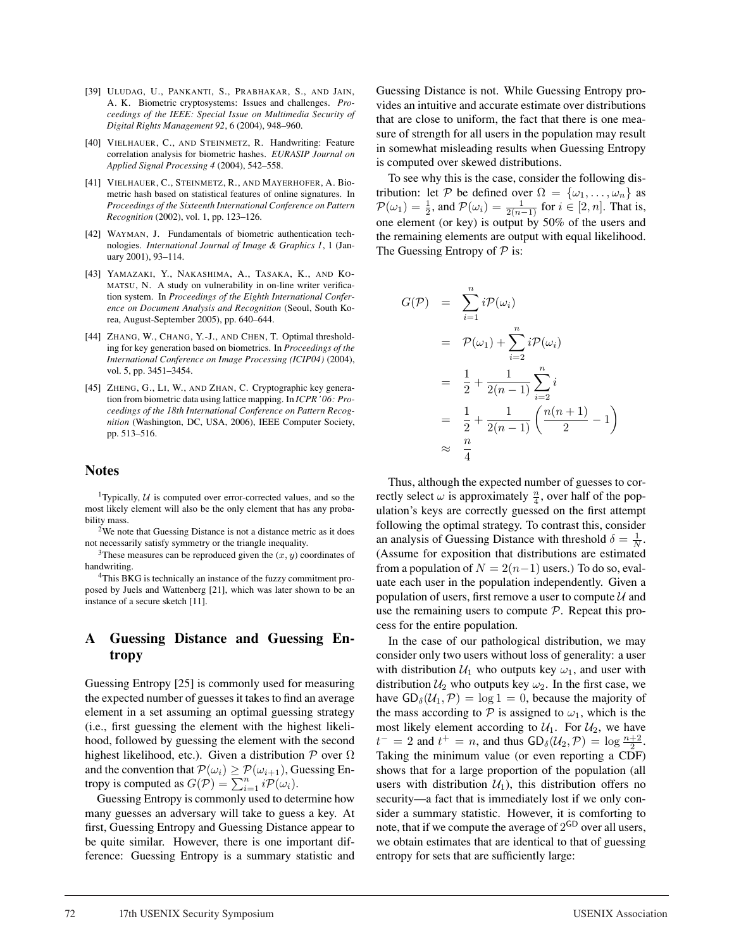- [39] ULUDAG, U., PANKANTI, S., PRABHAKAR, S., AND JAIN, A. K. Biometric cryptosystems: Issues and challenges. *Proceedings of the IEEE: Special Issue on Multimedia Security of Digital Rights Management 92*, 6 (2004), 948–960.
- [40] VIELHAUER, C., AND STEINMETZ, R. Handwriting: Feature correlation analysis for biometric hashes. *EURASIP Journal on Applied Signal Processing 4* (2004), 542–558.
- [41] VIELHAUER, C., STEINMETZ, R., AND MAYERHOFER, A. Biometric hash based on statistical features of online signatures. In *Proceedings of the Sixteenth International Conference on Pattern Recognition* (2002), vol. 1, pp. 123–126.
- [42] WAYMAN, J. Fundamentals of biometric authentication technologies. *International Journal of Image & Graphics 1*, 1 (January 2001), 93–114.
- [43] YAMAZAKI, Y., NAKASHIMA, A., TASAKA, K., AND KO-MATSU, N. A study on vulnerability in on-line writer verification system. In *Proceedings of the Eighth International Conference on Document Analysis and Recognition* (Seoul, South Korea, August-September 2005), pp. 640–644.
- [44] ZHANG, W., CHANG, Y.-J., AND CHEN, T. Optimal thresholding for key generation based on biometrics. In *Proceedings of the International Conference on Image Processing (ICIP04)* (2004), vol. 5, pp. 3451–3454.
- [45] ZHENG, G., LI, W., AND ZHAN, C. Cryptographic key generation from biometric data using lattice mapping. In *ICPR '06: Proceedings of the 18th International Conference on Pattern Recognition* (Washington, DC, USA, 2006), IEEE Computer Society, pp. 513–516.

#### **Notes**

<sup>1</sup>Typically,  $U$  is computed over error-corrected values, and so the most likely element will also be the only element that has any probability mass.

 $2$ We note that Guessing Distance is not a distance metric as it does not necessarily satisfy symmetry or the triangle inequality.

<sup>3</sup>These measures can be reproduced given the  $(x, y)$  coordinates of handwriting.

4This BKG is technically an instance of the fuzzy commitment proposed by Juels and Wattenberg [21], which was later shown to be an instance of a secure sketch [11].

### **A Guessing Distance and Guessing Entropy**

Guessing Entropy [25] is commonly used for measuring the expected number of guesses it takes to find an average element in a set assuming an optimal guessing strategy (i.e., first guessing the element with the highest likelihood, followed by guessing the element with the second highest likelihood, etc.). Given a distribution  $P$  over  $\Omega$ and the convention that  $\mathcal{P}(\omega_i) \geq \mathcal{P}(\omega_{i+1})$ , Guessing Entropy is computed as  $G(\mathcal{P}) = \sum_{i=1}^{n} i \mathcal{P}(\omega_i)$ .

Guessing Entropy is commonly used to determine how many guesses an adversary will take to guess a key. At first, Guessing Entropy and Guessing Distance appear to be quite similar. However, there is one important difference: Guessing Entropy is a summary statistic and Guessing Distance is not. While Guessing Entropy provides an intuitive and accurate estimate over distributions that are close to uniform, the fact that there is one measure of strength for all users in the population may result in somewhat misleading results when Guessing Entropy is computed over skewed distributions.

To see why this is the case, consider the following distribution: let P be defined over  $\Omega = {\omega_1, \dots, \omega_n}$  as  $\mathcal{P}(\omega_1) = \frac{1}{2}$ , and  $\mathcal{P}(\omega_i) = \frac{1}{2(n-1)}$  for  $i \in [2, n]$ . That is, one element (or key) is output by 50% of the users and the remaining elements are output with equal likelihood. The Guessing Entropy of  $P$  is:

$$
G(\mathcal{P}) = \sum_{i=1}^{n} i \mathcal{P}(\omega_i)
$$
  
=  $\mathcal{P}(\omega_1) + \sum_{i=2}^{n} i \mathcal{P}(\omega_i)$   
=  $\frac{1}{2} + \frac{1}{2(n-1)} \sum_{i=2}^{n} i$   
=  $\frac{1}{2} + \frac{1}{2(n-1)} \left( \frac{n(n+1)}{2} - 1 \right)$   
 $\approx \frac{n}{4}$ 

Thus, although the expected number of guesses to correctly select  $\omega$  is approximately  $\frac{n}{4}$ , over half of the population's keys are correctly guessed on the first attempt following the optimal strategy. To contrast this, consider an analysis of Guessing Distance with threshold  $\delta = \frac{1}{N}$ . (Assume for exposition that distributions are estimated from a population of  $N = 2(n-1)$  users.) To do so, evaluate each user in the population independently. Given a population of users, first remove a user to compute  $\mathcal U$  and use the remaining users to compute  $P$ . Repeat this process for the entire population.

In the case of our pathological distribution, we may consider only two users without loss of generality: a user with distribution  $U_1$  who outputs key  $\omega_1$ , and user with distribution  $U_2$  who outputs key  $\omega_2$ . In the first case, we have  $GD_{\delta}(\mathcal{U}_1, \mathcal{P}) = \log 1 = 0$ , because the majority of the mass according to  $P$  is assigned to  $\omega_1$ , which is the most likely element according to  $\mathcal{U}_1$ . For  $\mathcal{U}_2$ , we have  $t^{-} = 2$  and  $t^{+} = n$ , and thus  $GD_{\delta}(\mathcal{U}_2, \mathcal{P}) = \log \frac{n+2}{2}$ . Taking the minimum value (or even reporting a CDF) shows that for a large proportion of the population (all users with distribution  $U_1$ ), this distribution offers no security—a fact that is immediately lost if we only consider a summary statistic. However, it is comforting to note, that if we compute the average of  $2^{GD}$  over all users, we obtain estimates that are identical to that of guessing entropy for sets that are sufficiently large: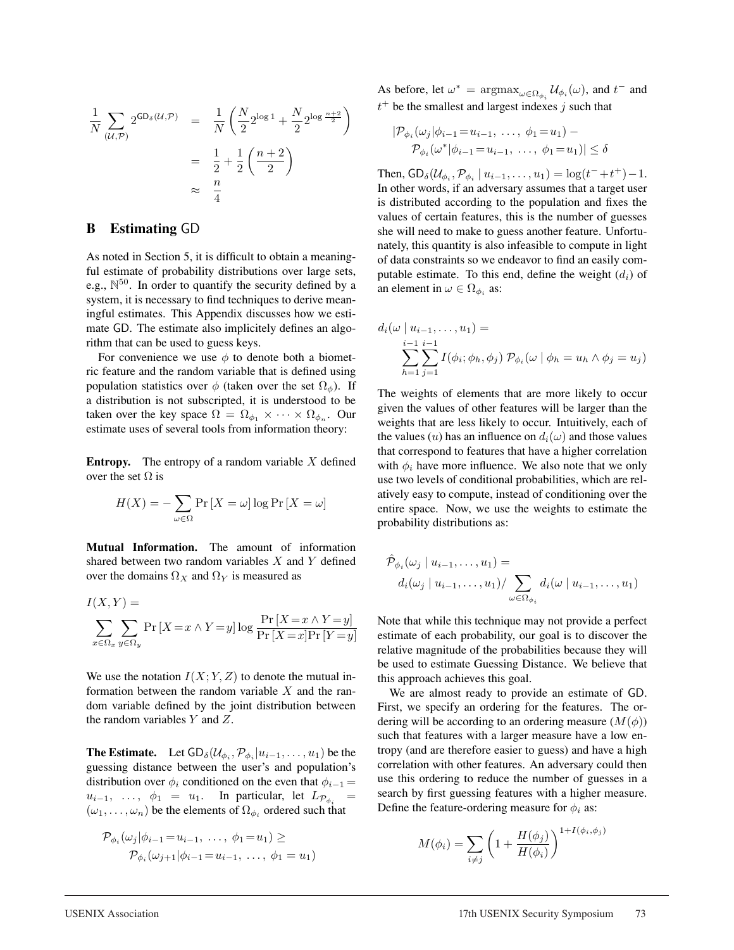$$
\frac{1}{N} \sum_{(\mathcal{U}, \mathcal{P})} 2^{\text{GD}_{\delta}(\mathcal{U}, \mathcal{P})} = \frac{1}{N} \left( \frac{N}{2} 2^{\log 1} + \frac{N}{2} 2^{\log \frac{n+2}{2}} \right)
$$

$$
= \frac{1}{2} + \frac{1}{2} \left( \frac{n+2}{2} \right)
$$

$$
\approx \frac{n}{4}
$$

### **B Estimating** GD

As noted in Section 5, it is difficult to obtain a meaningful estimate of probability distributions over large sets, e.g.,  $\mathbb{N}^{50}$ . In order to quantify the security defined by a system, it is necessary to find techniques to derive meaningful estimates. This Appendix discusses how we estimate GD. The estimate also implicitely defines an algorithm that can be used to guess keys.

For convenience we use  $\phi$  to denote both a biometric feature and the random variable that is defined using population statistics over  $\phi$  (taken over the set  $\Omega_{\phi}$ ). If a distribution is not subscripted, it is understood to be taken over the key space  $\Omega = \Omega_{\phi_1} \times \cdots \times \Omega_{\phi_n}$ . Our estimate uses of several tools from information theory:

**Entropy.** The entropy of a random variable  $X$  defined over the set  $\Omega$  is

$$
H(X) = -\sum_{\omega \in \Omega} \Pr\left[X = \omega\right] \log \Pr\left[X = \omega\right]
$$

**Mutual Information.** The amount of information shared between two random variables  $X$  and  $Y$  defined over the domains  $\Omega_X$  and  $\Omega_Y$  is measured as

$$
I(X, Y) =
$$
  

$$
\sum_{x \in \Omega_x} \sum_{y \in \Omega_y} \Pr[X = x \land Y = y] \log \frac{\Pr[X = x \land Y = y]}{\Pr[X = x] \Pr[Y = y]}
$$

We use the notation  $I(X; Y, Z)$  to denote the mutual information between the random variable  $X$  and the random variable defined by the joint distribution between the random variables Y and Z.

**The Estimate.** Let  $GD_{\delta}(\mathcal{U}_{\phi_i}, \mathcal{P}_{\phi_i} | u_{i-1}, \dots, u_1)$  be the guessing distance between the user's and population's distribution over  $\phi_i$  conditioned on the even that  $\phi_{i-1} =$  $u_{i-1}, \ldots, \phi_1 = u_1.$  In particular, let  $L_{\mathcal{P}_{\phi_i}} =$  $(\omega_1, \ldots, \omega_n)$  be the elements of  $\Omega_{\phi_i}$  ordered such that

$$
\mathcal{P}_{\phi_i}(\omega_j|\phi_{i-1} = u_{i-1}, \ldots, \phi_1 = u_1) \ge
$$
  

$$
\mathcal{P}_{\phi_i}(\omega_{j+1}|\phi_{i-1} = u_{i-1}, \ldots, \phi_1 = u_1)
$$

As before, let  $\omega^* = \operatorname{argmax}_{\omega \in \Omega_{\phi_i}} \mathcal{U}_{\phi_i}(\omega)$ , and  $t^-$  and  $t^+$  be the smallest and largest indexes j such that

$$
|\mathcal{P}_{\phi_i}(\omega_j|\phi_{i-1} = u_{i-1}, \dots, \phi_1 = u_1) - \mathcal{P}_{\phi_i}(\omega^*|\phi_{i-1} = u_{i-1}, \dots, \phi_1 = u_1)| \le \delta
$$

Then,  $GD_{\delta}(U_{\phi_i}, \mathcal{P}_{\phi_i} | u_{i-1}, \dots, u_1) = \log(t^{-} + t^{+}) - 1$ . In other words, if an adversary assumes that a target user is distributed according to the population and fixes the values of certain features, this is the number of guesses she will need to make to guess another feature. Unfortunately, this quantity is also infeasible to compute in light of data constraints so we endeavor to find an easily computable estimate. To this end, define the weight  $(d_i)$  of an element in  $\omega \in \Omega_{\phi_i}$  as:

$$
d_i(\omega \mid u_{i-1},...,u_1) =
$$
  

$$
\sum_{h=1}^{i-1} \sum_{j=1}^{i-1} I(\phi_i; \phi_h, \phi_j) \mathcal{P}_{\phi_i}(\omega \mid \phi_h = u_h \land \phi_j = u_j)
$$

The weights of elements that are more likely to occur given the values of other features will be larger than the weights that are less likely to occur. Intuitively, each of the values (u) has an influence on  $d_i(\omega)$  and those values that correspond to features that have a higher correlation with  $\phi_i$  have more influence. We also note that we only use two levels of conditional probabilities, which are relatively easy to compute, instead of conditioning over the entire space. Now, we use the weights to estimate the probability distributions as:

$$
\hat{\mathcal{P}}_{\phi_i}(\omega_j \mid u_{i-1}, \dots, u_1) =
$$
\n
$$
d_i(\omega_j \mid u_{i-1}, \dots, u_1) / \sum_{\omega \in \Omega_{\phi_i}} d_i(\omega \mid u_{i-1}, \dots, u_1)
$$

Note that while this technique may not provide a perfect estimate of each probability, our goal is to discover the relative magnitude of the probabilities because they will be used to estimate Guessing Distance. We believe that this approach achieves this goal.

We are almost ready to provide an estimate of GD. First, we specify an ordering for the features. The ordering will be according to an ordering measure  $(M(\phi))$ such that features with a larger measure have a low entropy (and are therefore easier to guess) and have a high correlation with other features. An adversary could then use this ordering to reduce the number of guesses in a search by first guessing features with a higher measure. Define the feature-ordering measure for  $\phi_i$  as:

$$
M(\phi_i) = \sum_{i \neq j} \left( 1 + \frac{H(\phi_j)}{H(\phi_i)} \right)^{1 + I(\phi_i, \phi_j)}
$$